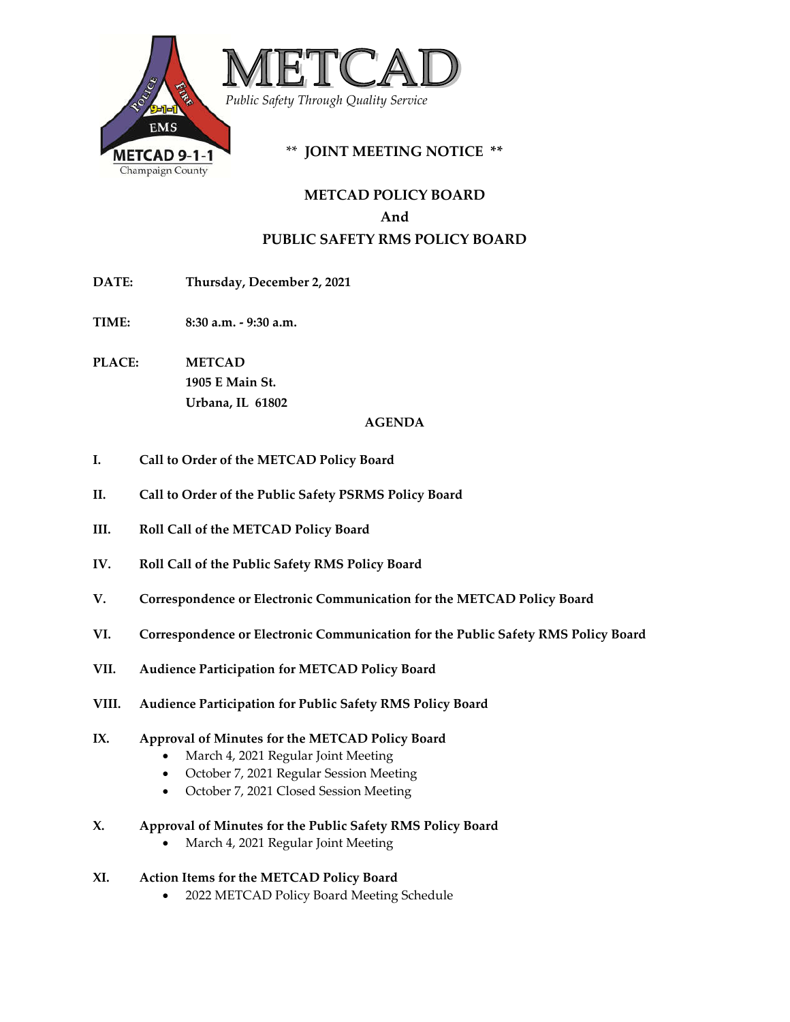

# **METCAD POLICY BOARD And PUBLIC SAFETY RMS POLICY BOARD**

- **DATE: Thursday, December 2, 2021**
- **TIME: 8:30 a.m. - 9:30 a.m.**
- **PLACE: METCAD 1905 E Main St. Urbana, IL 61802**

## **AGENDA**

- **I. Call to Order of the METCAD Policy Board**
- **II. Call to Order of the Public Safety PSRMS Policy Board**
- **III. Roll Call of the METCAD Policy Board**
- **IV. Roll Call of the Public Safety RMS Policy Board**
- **V. Correspondence or Electronic Communication for the METCAD Policy Board**
- **VI. Correspondence or Electronic Communication for the Public Safety RMS Policy Board**
- **VII. Audience Participation for METCAD Policy Board**
- **VIII. Audience Participation for Public Safety RMS Policy Board**

# **IX. Approval of Minutes for the METCAD Policy Board**

- March 4, 2021 Regular Joint Meeting
- October 7, 2021 Regular Session Meeting
- October 7, 2021 Closed Session Meeting

# **X. Approval of Minutes for the Public Safety RMS Policy Board**

- March 4, 2021 Regular Joint Meeting
- **XI. Action Items for the METCAD Policy Board**
	- 2022 METCAD Policy Board Meeting Schedule